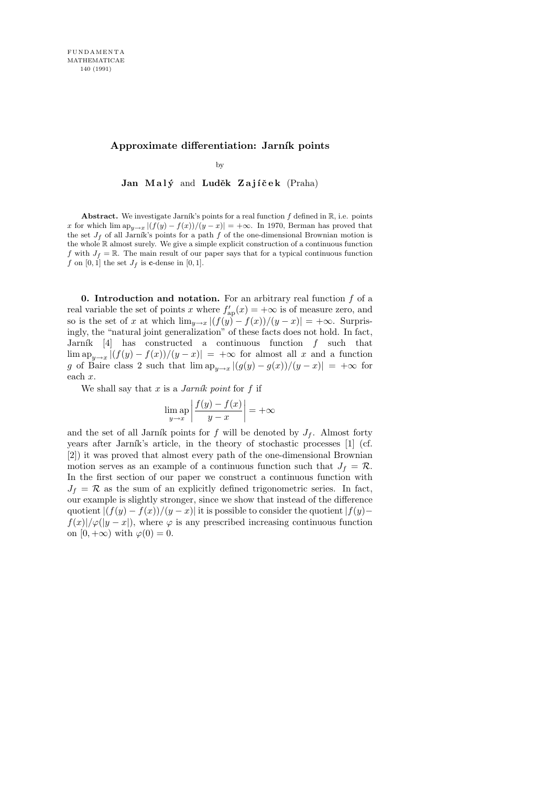## Approximate differentiation: Jarník points

by

Jan Malý and Luděk Zajíček  $(Praha)$ 

Abstract. We investigate Jarník's points for a real function  $f$  defined in  $\mathbb{R}$ , i.e. points x for which lim  $ap_{y\to x} |(f(y) - f(x))/(y - x)| = +\infty$ . In 1970, Berman has proved that the set  $J_f$  of all Jarník's points for a path f of the one-dimensional Brownian motion is the whole  $\mathbb R$  almost surely. We give a simple explicit construction of a continuous function f with  $J_f = \mathbb{R}$ . The main result of our paper says that for a typical continuous function f on  $[0, 1]$  the set  $J_f$  is **c**-dense in  $[0, 1]$ .

**0. Introduction and notation.** For an arbitrary real function  $f$  of a real variable the set of points x where  $f'_{ap}(x) = +\infty$  is of measure zero, and so is the set of x at which  $\lim_{y\to x} |(f(y) - f(x))/(y - x)| = +\infty$ . Surprisingly, the "natural joint generalization" of these facts does not hold. In fact, Jarník  $[4]$  has constructed a continuous function f such that  $\lim_{y\to x} |(f(y) - f(x))/(y - x)| = +\infty$  for almost all x and a function g of Baire class 2 such that  $\lim_{y\to x} |(g(y) - g(x))/(y - x)| = +\infty$  for each x.

We shall say that  $x$  is a *Jarník point* for  $f$  if

$$
\lim_{y \to x} \left| \frac{f(y) - f(x)}{y - x} \right| = +\infty
$$

and the set of all Jarník points for f will be denoted by  $J_f$ . Almost forty years after Jarník's article, in the theory of stochastic processes [1] (cf. [2]) it was proved that almost every path of the one-dimensional Brownian motion serves as an example of a continuous function such that  $J_f = \mathcal{R}$ . In the first section of our paper we construct a continuous function with  $J_f = \mathcal{R}$  as the sum of an explicitly defined trigonometric series. In fact, our example is slightly stronger, since we show that instead of the difference quotient  $|(f(y) - f(x))/(y - x)|$  it is possible to consider the quotient  $|f(y) - f(x)|$  $f(x)|/\varphi(|y-x|)$ , where  $\varphi$  is any prescribed increasing continuous function on  $[0, +\infty)$  with  $\varphi(0) = 0$ .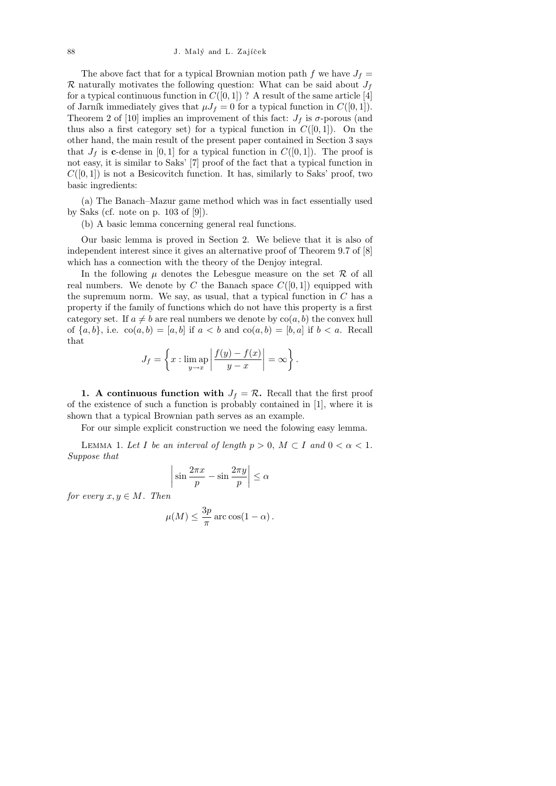The above fact that for a typical Brownian motion path f we have  $J_f =$  $\mathcal R$  naturally motivates the following question: What can be said about  $J_f$ for a typical continuous function in  $C([0, 1])$ ? A result of the same article [4] of Jarník immediately gives that  $\mu J_f = 0$  for a typical function in  $C([0, 1])$ . Theorem 2 of [10] implies an improvement of this fact:  $J_f$  is  $\sigma$ -porous (and thus also a first category set) for a typical function in  $C([0,1])$ . On the other hand, the main result of the present paper contained in Section 3 says that  $J_f$  is c-dense in [0, 1] for a typical function in  $C([0, 1])$ . The proof is not easy, it is similar to Saks' [7] proof of the fact that a typical function in  $C([0,1])$  is not a Besicovitch function. It has, similarly to Saks' proof, two basic ingredients:

(a) The Banach–Mazur game method which was in fact essentially used by Saks (cf. note on p. 103 of [9]).

(b) A basic lemma concerning general real functions.

Our basic lemma is proved in Section 2. We believe that it is also of independent interest since it gives an alternative proof of Theorem 9.7 of [8] which has a connection with the theory of the Denjoy integral.

In the following  $\mu$  denotes the Lebesgue measure on the set  $\mathcal R$  of all real numbers. We denote by C the Banach space  $C([0, 1])$  equipped with the supremum norm. We say, as usual, that a typical function in  $C$  has a property if the family of functions which do not have this property is a first category set. If  $a \neq b$  are real numbers we denote by  $\text{co}(a, b)$  the convex hull of  $\{a, b\}$ , i.e.  $\text{co}(a, b) = [a, b]$  if  $a < b$  and  $\text{co}(a, b) = [b, a]$  if  $b < a$ . Recall that

$$
J_f = \left\{ x : \lim_{y \to x} \left| \frac{f(y) - f(x)}{y - x} \right| = \infty \right\}.
$$

1. A continuous function with  $J_f = \mathcal{R}$ . Recall that the first proof of the existence of such a function is probably contained in [1], where it is shown that a typical Brownian path serves as an example.

For our simple explicit construction we need the folowing easy lemma.

LEMMA 1. Let I be an interval of length  $p > 0$ ,  $M \subset I$  and  $0 < \alpha < 1$ . Suppose that

$$
\left|\sin\frac{2\pi x}{p} - \sin\frac{2\pi y}{p}\right| \le \alpha
$$

for every  $x, y \in M$ . Then

$$
\mu(M) \le \frac{3p}{\pi} \arccos(1 - \alpha).
$$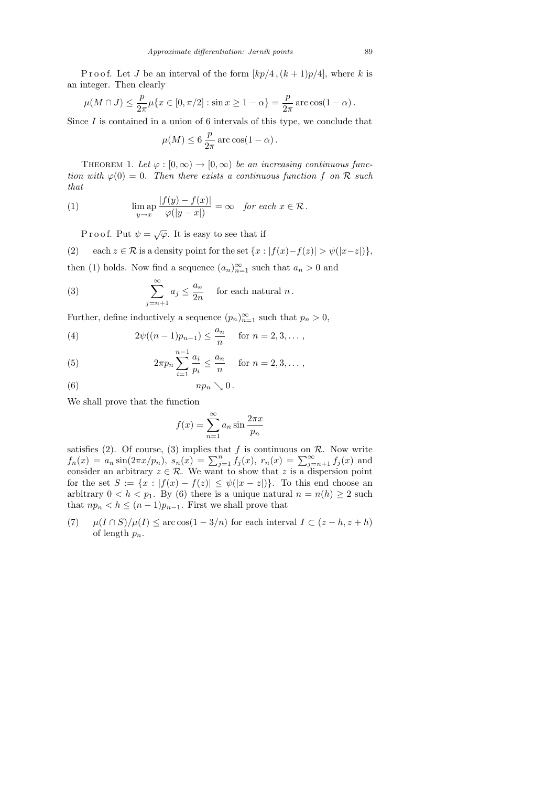P r o o f. Let J be an interval of the form  $[kp/4,(k+1)p/4]$ , where k is an integer. Then clearly

$$
\mu(M \cap J) \le \frac{p}{2\pi} \mu\{x \in [0, \pi/2] : \sin x \ge 1 - \alpha\} = \frac{p}{2\pi} \arccos(1 - \alpha).
$$

Since  $I$  is contained in a union of 6 intervals of this type, we conclude that

$$
\mu(M) \le 6 \frac{p}{2\pi} \arccos(1 - \alpha).
$$

THEOREM 1. Let  $\varphi : [0, \infty) \to [0, \infty)$  be an increasing continuous function with  $\varphi(0) = 0$ . Then there exists a continuous function f on R such that

(1) 
$$
\lim_{y \to x} \frac{|f(y) - f(x)|}{\varphi(|y - x|)} = \infty \quad \text{for each } x \in \mathcal{R}.
$$

P r o o f. Put  $\psi = \sqrt{\varphi}$ . It is easy to see that if

(2) each  $z \in \mathcal{R}$  is a density point for the set  $\{x : |f(x)-f(z)| > \psi(|x-z|)\},\$ then (1) holds. Now find a sequence  $(a_n)_{n=1}^{\infty}$  such that  $a_n > 0$  and

(3) 
$$
\sum_{j=n+1}^{\infty} a_j \le \frac{a_n}{2n} \quad \text{for each natural } n.
$$

Further, define inductively a sequence  $(p_n)_{n=1}^{\infty}$  such that  $p_n > 0$ ,

(4) 
$$
2\psi((n-1)p_{n-1}) \leq \frac{a_n}{n}
$$
 for  $n = 2, 3, ...$ ,

(5) 
$$
2\pi p_n \sum_{i=1}^{n-1} \frac{a_i}{p_i} \leq \frac{a_n}{n} \quad \text{for } n = 2, 3, \dots,
$$

$$
(6) \t\t\t np_n \searrow 0.
$$

We shall prove that the function

$$
f(x) = \sum_{n=1}^{\infty} a_n \sin \frac{2\pi x}{p_n}
$$

satisfies (2). Of course, (3) implies that f is continuous on  $\mathcal{R}$ . Now write  $f_n(x) = a_n \sin(2\pi x/p_n), \ s_n(x) = \sum_{j=1}^n f_j(x), \ r_n(x) = \sum_{j=n+1}^{\infty} f_j(x)$  and consider an arbitrary  $z \in \mathcal{R}$ . We want to show that z is a dispersion point for the set  $S := \{x : |f(x) - f(z)| \leq \psi(|x - z|)\}\$ . To this end choose an arbitrary  $0 < h < p_1$ . By (6) there is a unique natural  $n = n(h) \ge 2$  such that  $np_n < h \leq (n-1)p_{n-1}$ . First we shall prove that

(7)  $\mu(I \cap S)/\mu(I) \leq \arccos(1-3/n)$  for each interval  $I \subset (z-h, z+h)$ of length  $p_n$ .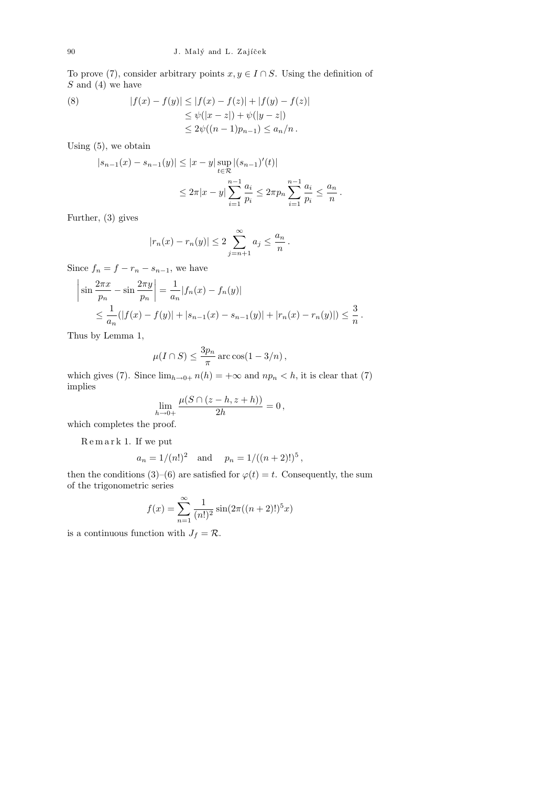To prove (7), consider arbitrary points  $x, y \in I \cap S$ . Using the definition of  $S$  and  $(4)$  we have

(8) 
$$
|f(x) - f(y)| \le |f(x) - f(z)| + |f(y) - f(z)|
$$

$$
\le \psi(|x - z|) + \psi(|y - z|)
$$

$$
\le 2\psi((n - 1)p_{n-1}) \le a_n/n.
$$

Using (5), we obtain

$$
|s_{n-1}(x) - s_{n-1}(y)| \le |x - y| \sup_{t \in \mathcal{R}} |(s_{n-1})'(t)|
$$
  

$$
\le 2\pi |x - y| \sum_{i=1}^{n-1} \frac{a_i}{p_i} \le 2\pi p_n \sum_{i=1}^{n-1} \frac{a_i}{p_i} \le \frac{a_n}{n}
$$

.

Further, (3) gives

$$
|r_n(x) - r_n(y)| \le 2 \sum_{j=n+1}^{\infty} a_j \le \frac{a_n}{n}.
$$

Since  $f_n = f - r_n - s_{n-1}$ , we have

$$
\left| \sin \frac{2\pi x}{p_n} - \sin \frac{2\pi y}{p_n} \right| = \frac{1}{a_n} |f_n(x) - f_n(y)|
$$
  

$$
\leq \frac{1}{a_n} (|f(x) - f(y)| + |s_{n-1}(x) - s_{n-1}(y)| + |r_n(x) - r_n(y)|) \leq \frac{3}{n}.
$$

Thus by Lemma 1,

$$
\mu(I \cap S) \le \frac{3p_n}{\pi} \arccos(1 - 3/n),
$$

which gives (7). Since  $\lim_{h\to 0+} n(h) = +\infty$  and  $np_n < h$ , it is clear that (7) implies

$$
\lim_{h \to 0+} \frac{\mu(S \cap (z - h, z + h))}{2h} = 0,
$$

which completes the proof.

Remark 1. If we put

$$
a_n = 1/(n!)^2
$$
 and  $p_n = 1/((n+2)!)^5$ ,

then the conditions (3)–(6) are satisfied for  $\varphi(t) = t$ . Consequently, the sum of the trigonometric series

$$
f(x) = \sum_{n=1}^{\infty} \frac{1}{(n!)^2} \sin(2\pi((n+2)!)^5 x)
$$

is a continuous function with  $J_f = \mathcal{R}$ .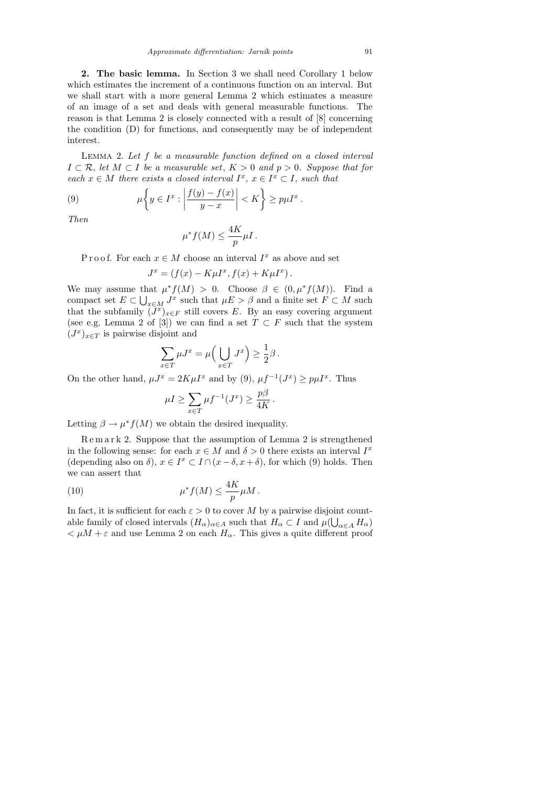2. The basic lemma. In Section 3 we shall need Corollary 1 below which estimates the increment of a continuous function on an interval. But we shall start with a more general Lemma 2 which estimates a measure of an image of a set and deals with general measurable functions. The reason is that Lemma 2 is closely connected with a result of [8] concerning the condition (D) for functions, and consequently may be of independent interest.

LEMMA 2. Let  $f$  be a measurable function defined on a closed interval  $I \subset \mathcal{R}$ , let  $M \subset I$  be a measurable set,  $K > 0$  and  $p > 0$ . Suppose that for each  $x \in M$  there exists a closed interval  $I^x$ ,  $x \in I^x \subset I$ , such that

(9) 
$$
\mu\bigg\{y\in I^x:\left|\frac{f(y)-f(x)}{y-x}\right|
$$

Then

$$
\mu^* f(M) \le \frac{4K}{p} \mu I \,.
$$

P r o o f. For each  $x \in M$  choose an interval  $I^x$  as above and set

$$
J^x = (f(x) - K\mu I^x, f(x) + K\mu I^x).
$$

We may assume that  $\mu^* f(M) > 0$ . Choose  $\beta \in (0, \mu^* f(M))$ . Find a compact set  $E \subset \bigcup_{x \in M} J^x$  such that  $\mu E > \beta$  and a finite set  $F \subset M$  such that the subfamily  $(\tilde{J}^x)_{x \in F}$  still covers E. By an easy covering argument (see e.g. Lemma 2 of [3]) we can find a set  $T \subset F$  such that the system  $(J^x)_{x \in T}$  is pairwise disjoint and

$$
\sum_{x \in T} \mu J^x = \mu \Big( \bigcup_{x \in T} J^x \Big) \ge \frac{1}{2} \beta \, .
$$

On the other hand,  $\mu J^x = 2K\mu I^x$  and by (9),  $\mu f^{-1}(J^x) \geq p\mu I^x$ . Thus

$$
\mu I \ge \sum_{x \in T} \mu f^{-1}(J^x) \ge \frac{p\beta}{4K}
$$

.

Letting  $\beta \to \mu^* f(M)$  we obtain the desired inequality.

R e m a r k 2. Suppose that the assumption of Lemma 2 is strengthened in the following sense: for each  $x \in M$  and  $\delta > 0$  there exists an interval  $I^x$ (depending also on  $\delta$ ),  $x \in I^x \subset I \cap (x - \delta, x + \delta)$ , for which (9) holds. Then we can assert that

(10) 
$$
\mu^* f(M) \leq \frac{4K}{p} \mu M.
$$

In fact, it is sufficient for each  $\varepsilon > 0$  to cover M by a pairwise disjoint countable family of closed intervals  $(H_{\alpha})_{\alpha \in A}$  such that  $H_{\alpha} \subset I$  and  $\mu(\bigcup_{\alpha \in A} H_{\alpha})$  $\langle \mu M + \varepsilon \rangle$  and use Lemma 2 on each  $H_{\alpha}$ . This gives a quite different proof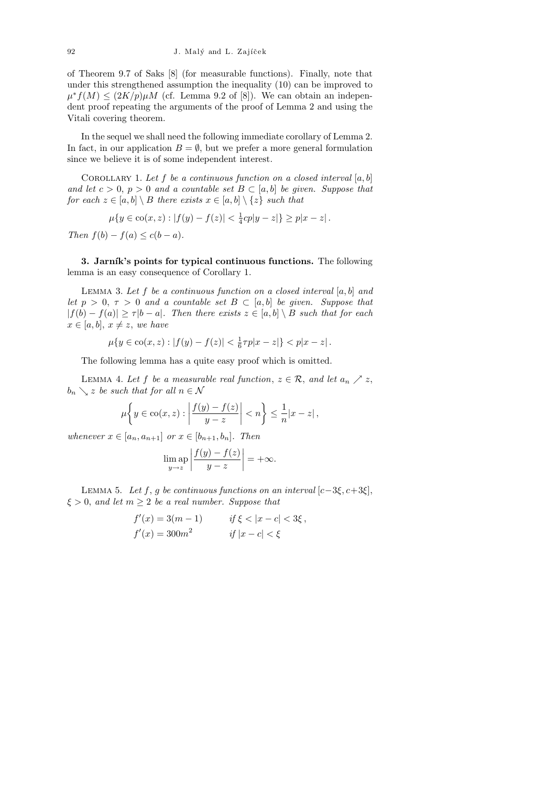of Theorem 9.7 of Saks [8] (for measurable functions). Finally, note that under this strengthened assumption the inequality (10) can be improved to  $\mu^* f(M) \leq (2K/p)\mu M$  (cf. Lemma 9.2 of [8]). We can obtain an independent proof repeating the arguments of the proof of Lemma 2 and using the Vitali covering theorem.

In the sequel we shall need the following immediate corollary of Lemma 2. In fact, in our application  $B = \emptyset$ , but we prefer a more general formulation since we believe it is of some independent interest.

COROLLARY 1. Let f be a continuous function on a closed interval  $[a, b]$ and let  $c > 0$ ,  $p > 0$  and a countable set  $B \subset [a, b]$  be given. Suppose that for each  $z \in [a, b] \setminus B$  there exists  $x \in [a, b] \setminus \{z\}$  such that

$$
\mu\{y \in \text{co}(x, z) : |f(y) - f(z)| < \frac{1}{4}cp|y - z|\} \ge p|x - z|.
$$

Then  $f(b) - f(a) \leq c(b-a)$ .

3. Jarník's points for typical continuous functions. The following lemma is an easy consequence of Corollary 1.

LEMMA 3. Let  $f$  be a continuous function on a closed interval  $[a, b]$  and let  $p > 0$ ,  $\tau > 0$  and a countable set  $B \subset [a, b]$  be given. Suppose that  $|f(b) - f(a)| \geq \tau |b - a|$ . Then there exists  $z \in [a, b] \setminus B$  such that for each  $x \in [a, b], x \neq z, we have$ 

$$
\mu\{y \in \text{co}(x, z) : |f(y) - f(z)| < \frac{1}{6}\tau p|x - z|\} < p|x - z|.
$$

The following lemma has a quite easy proof which is omitted.

LEMMA 4. Let f be a measurable real function,  $z \in \mathcal{R}$ , and let  $a_n \nearrow z$ ,  $b_n \searrow z$  be such that for all  $n \in \mathcal{N}$ 

$$
\mu\bigg\{y\in\text{co}(x,z): \bigg|\frac{f(y)-f(z)}{y-z}\bigg|
$$

whenever  $x \in [a_n, a_{n+1}]$  or  $x \in [b_{n+1}, b_n]$ . Then

$$
\lim_{y \to z} \left| \frac{f(y) - f(z)}{y - z} \right| = +\infty.
$$

LEMMA 5. Let f, g be continuous functions on an interval  $[c-3\xi, c+3\xi]$ ,  $\xi > 0$ , and let  $m \geq 2$  be a real number. Suppose that

$$
f'(x) = 3(m - 1) \qquad \text{if } \xi < |x - c| < 3\xi \,,
$$
\n
$$
f'(x) = 300m^2 \qquad \text{if } |x - c| < \xi
$$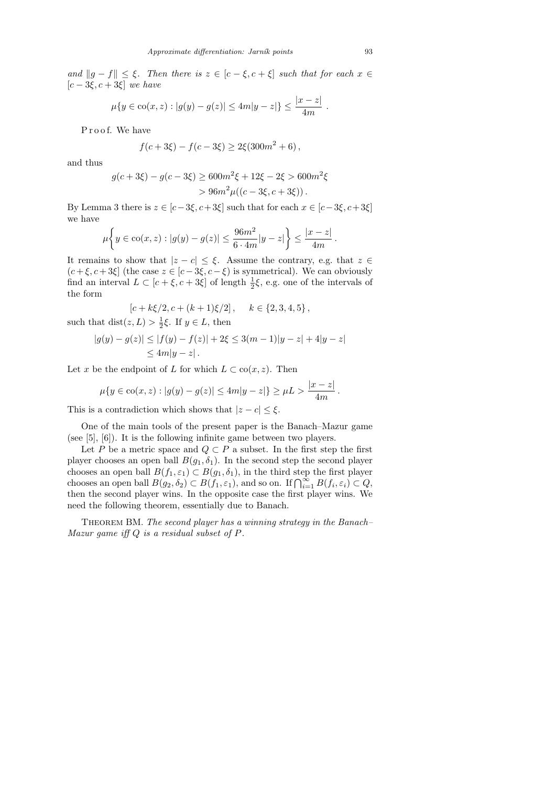$$
\mu\{y \in \text{co}(x, z) : |g(y) - g(z)| \le 4m|y - z|\} \le \frac{|x - z|}{4m}.
$$

Proof. We have

$$
f(c+3\xi) - f(c-3\xi) \ge 2\xi(300m^2 + 6),
$$

and thus

$$
g(c+3\xi) - g(c-3\xi) \ge 600m^2\xi + 12\xi - 2\xi > 600m^2\xi
$$
  
> 
$$
96m^2\mu((c-3\xi, c+3\xi)).
$$

By Lemma 3 there is  $z \in [c-3\xi, c+3\xi]$  such that for each  $x \in [c-3\xi, c+3\xi]$ we have

$$
\mu \bigg\{ y \in \text{co}(x,z) : |g(y) - g(z)| \leq \frac{96m^2}{6 \cdot 4m} |y - z| \bigg\} \leq \frac{|x - z|}{4m}.
$$

It remains to show that  $|z - c| \leq \xi$ . Assume the contrary, e.g. that  $z \in \xi$  $(c + \xi, c + 3\xi]$  (the case  $z \in [c - 3\xi, c - \xi)$  is symmetrical). We can obviously find an interval  $L \subset [c + \xi, c + 3\xi]$  of length  $\frac{1}{2}\xi$ , e.g. one of the intervals of the form

$$
[c + k\xi/2, c + (k+1)\xi/2], \quad k \in \{2, 3, 4, 5\},\
$$

such that  $dist(z, L) > \frac{1}{2}$  $\frac{1}{2}\xi$ . If  $y \in L$ , then

$$
|g(y) - g(z)| \le |f(y) - f(z)| + 2\xi \le 3(m-1)|y - z| + 4|y - z|
$$
  
\n
$$
\le 4m|y - z|.
$$

Let x be the endpoint of L for which  $L \subset \text{co}(x, z)$ . Then

$$
\mu\{y \in \text{co}(x, z) : |g(y) - g(z)| \le 4m|y - z|\} \ge \mu L > \frac{|x - z|}{4m}.
$$

This is a contradiction which shows that  $|z - c| \leq \xi$ .

One of the main tools of the present paper is the Banach–Mazur game (see [5], [6]). It is the following infinite game between two players.

Let P be a metric space and  $Q \subset P$  a subset. In the first step the first player chooses an open ball  $B(q_1, \delta_1)$ . In the second step the second player chooses an open ball  $B(f_1, \varepsilon_1) \subset B(g_1, \delta_1)$ , in the third step the first player chooses an open ball  $B(g_2, \delta_2) \subset B(f_1, \varepsilon_1)$ , and so on. If  $\bigcap_{i=1}^{\infty} B(f_i, \varepsilon_i) \subset Q$ , then the second player wins. In the opposite case the first player wins. We need the following theorem, essentially due to Banach.

THEOREM BM. The second player has a winning strategy in the Banach– Mazur game iff  $Q$  is a residual subset of  $P$ .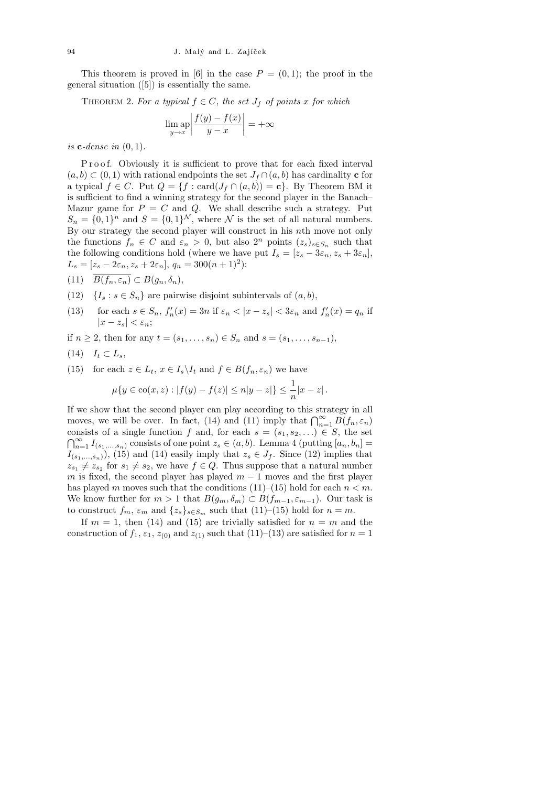This theorem is proved in [6] in the case  $P = (0, 1)$ ; the proof in the general situation ([5]) is essentially the same.

THEOREM 2. For a typical  $f \in C$ , the set  $J_f$  of points x for which

$$
\lim_{y \to x} \left| \frac{f(y) - f(x)}{y - x} \right| = +\infty
$$

is  $c$ -dense in  $(0, 1)$ .

P roof. Obviously it is sufficient to prove that for each fixed interval  $(a, b) \subset (0, 1)$  with rational endpoints the set  $J_f \cap (a, b)$  has cardinality **c** for a typical  $f \in C$ . Put  $Q = \{f : \text{card}(J_f \cap (a, b)) = c\}$ . By Theorem BM it is sufficient to find a winning strategy for the second player in the Banach– Mazur game for  $P = C$  and Q. We shall describe such a strategy. Put  $S_n = \{0,1\}^n$  and  $S = \{0,1\}^N$ , where N is the set of all natural numbers. By our strategy the second player will construct in his nth move not only the functions  $f_n \in C$  and  $\varepsilon_n > 0$ , but also  $2^n$  points  $(z_s)_{s \in S_n}$  such that the following conditions hold (where we have put  $I_s = [z_s - 3\varepsilon_n, z_s + 3\varepsilon_n]$ ),  $L_s = [z_s - 2\varepsilon_n, z_s + 2\varepsilon_n], q_n = 300(n + 1)^2$ :

- (11)  $\overline{B(f_n, \varepsilon_n)} \subset B(g_n, \delta_n),$
- (12) { $I_s : s \in S_n$ } are pairwise disjoint subintervals of  $(a, b)$ ,
- (13) for each  $s \in S_n$ ,  $f'_n(x) = 3n$  if  $\varepsilon_n < |x z_s| < 3\varepsilon_n$  and  $f'_n(x) = q_n$  if  $|x - z_s| < \varepsilon_n;$

if *n* ≥ 2, then for any  $t = (s_1, ..., s_n)$  ∈  $S_n$  and  $s = (s_1, ..., s_{n-1}),$ 

$$
(14) \quad I_t \subset L_s,
$$

(15) for each  $z \in L_t$ ,  $x \in I_s \backslash I_t$  and  $f \in B(f_n, \varepsilon_n)$  we have

$$
\mu\{y \in \text{co}(x, z) : |f(y) - f(z)| \le n|y - z|\} \le \frac{1}{n}|x - z|.
$$

If we show that the second player can play according to this strategy in all moves, we will be over. In fact, (14) and (11) imply that  $\bigcap_{n=1}^{\infty} B(f_n, \varepsilon_n)$ consists of a single function f and, for each  $s = (s_1, s_2, \ldots) \in S$ , the set  $\bigcap_{n=1}^{\infty} I_{(s_1,...,s_n)}$  consists of one point  $z_s \in (a, b)$ . Lemma 4 (putting  $[a_n, b_n] =$  $I_{(s_1,...,s_n)}$ , (15) and (14) easily imply that  $z_s \in J_f$ . Since (12) implies that  $z_{s_1} \neq z_{s_2}$  for  $s_1 \neq s_2$ , we have  $f \in Q$ . Thus suppose that a natural number m is fixed, the second player has played  $m-1$  moves and the first player has played m moves such that the conditions  $(11)–(15)$  hold for each  $n < m$ . We know further for  $m > 1$  that  $B(g_m, \delta_m) \subset B(f_{m-1}, \varepsilon_{m-1})$ . Our task is to construct  $f_m$ ,  $\varepsilon_m$  and  $\{z_s\}_{s\in S_m}$  such that  $(11)-(15)$  hold for  $n=m$ .

If  $m = 1$ , then (14) and (15) are trivially satisfied for  $n = m$  and the construction of  $f_1, \varepsilon_1, z_{(0)}$  and  $z_{(1)}$  such that  $(11)–(13)$  are satisfied for  $n = 1$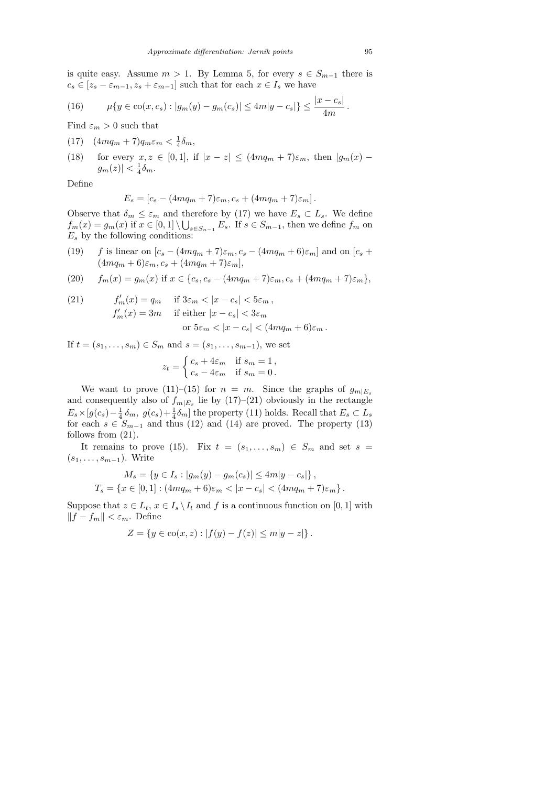is quite easy. Assume  $m > 1$ . By Lemma 5, for every  $s \in S_{m-1}$  there is  $c_s \in [z_s - \varepsilon_{m-1}, z_s + \varepsilon_{m-1}]$  such that for each  $x \in I_s$  we have

(16) 
$$
\mu\{y \in \text{co}(x,c_s) : |g_m(y) - g_m(c_s)| \le 4m|y - c_s|\} \le \frac{|x - c_s|}{4m}.
$$

Find  $\varepsilon_m > 0$  such that

- $(17)$   $(4mq_m + 7)q_m \epsilon_m < \frac{1}{4}$  $\frac{1}{4}\delta_m,$
- (18) for every  $x, z \in [0, 1]$ , if  $|x z| \leq (4mq_m + 7)\varepsilon_m$ , then  $|g_m(x) |g_m(z)| < \frac{1}{4}$  $rac{1}{4}\delta_m$ .

Define

$$
E_s = [c_s - (4mq_m + 7)\varepsilon_m, c_s + (4mq_m + 7)\varepsilon_m].
$$

Observe that  $\delta_m \leq \varepsilon_m$  and therefore by (17) we have  $E_s \subset L_s$ . We define  $f_m(x) = g_m(x)$  if  $x \in [0,1] \setminus \bigcup_{s \in S_{m-1}} E_s$ . If  $s \in S_{m-1}$ , then we define  $f_m$  on  $E_s$  by the following conditions:

(19) f is linear on  $[c_s - (4mq_m + 7)\varepsilon_m, c_s - (4mq_m + 6)\varepsilon_m]$  and on  $[c_s +$  $(4mq_m + 6)\varepsilon_m, c_s + (4mq_m + 7)\varepsilon_m,$ 

(20) 
$$
f_m(x) = g_m(x)
$$
 if  $x \in \{c_s, c_s - (4mq_m + 7)\varepsilon_m, c_s + (4mq_m + 7)\varepsilon_m\},\$ 

(21)  $f'_m(x) = q_m$  if  $3\varepsilon_m < |x - c_s| < 5\varepsilon_m$ ,  $f'_m(x) = 3m$  if either  $|x - c_s| < 3\varepsilon_m$ or  $5\varepsilon_m < |x - c_s| < (4mq_m + 6)\varepsilon_m$ .

If  $t = (s_1, \ldots, s_m) \in S_m$  and  $s = (s_1, \ldots, s_{m-1})$ , we set

$$
z_t = \begin{cases} c_s + 4\varepsilon_m & \text{if } s_m = 1, \\ c_s - 4\varepsilon_m & \text{if } s_m = 0. \end{cases}
$$

We want to prove (11)–(15) for  $n = m$ . Since the graphs of  $g_{m|E_s}$ and consequently also of  $f_{m|E_s}$  lie by  $(17)-(21)$  obviously in the rectangle  $E_s \times [g(c_s) - \frac{1}{4}]$  $\frac{1}{4} \delta_m$ ,  $g(c_s) + \frac{1}{4} \delta_m$  the property (11) holds. Recall that  $E_s \subset L_s$ for each  $s \in S_{m-1}$  and thus (12) and (14) are proved. The property (13) follows from (21).

It remains to prove (15). Fix  $t = (s_1, \ldots, s_m) \in S_m$  and set  $s =$  $(s_1, \ldots, s_{m-1})$ . Write

$$
M_s = \{ y \in I_s : |g_m(y) - g_m(c_s)| \le 4m|y - c_s| \},
$$
  

$$
T_s = \{ x \in [0, 1] : (4mq_m + 6)\varepsilon_m < |x - c_s| < (4mq_m + 7)\varepsilon_m \}.
$$

Suppose that  $z \in L_t$ ,  $x \in I_s \setminus I_t$  and f is a continuous function on [0, 1] with  $||f - f_m|| < \varepsilon_m$ . Define

$$
Z = \{ y \in \text{co}(x, z) : |f(y) - f(z)| \le m|y - z| \}.
$$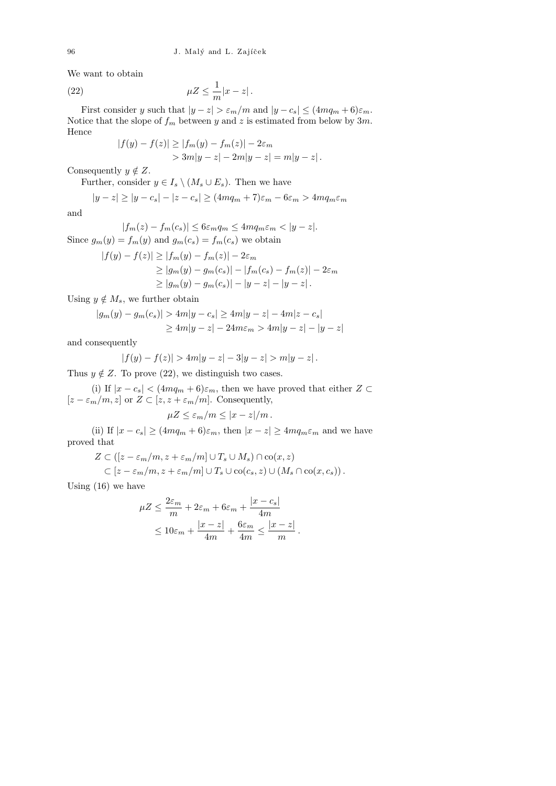We want to obtain

$$
\mu Z \leq
$$

First consider y such that  $|y - z| > \varepsilon_m/m$  and  $|y - c_s| \leq (4mq_m + 6)\varepsilon_m$ . Notice that the slope of  $f_m$  between y and z is estimated from below by  $3m$ . Hence

1

 $\frac{1}{m}|x-z|$ .

$$
|f(y) - f(z)| \ge |f_m(y) - f_m(z)| - 2\varepsilon_m > 3m|y - z| - 2m|y - z| = m|y - z|.
$$

Consequently  $y \notin Z$ .

Further, consider  $y \in I_s \setminus (M_s \cup E_s)$ . Then we have

$$
|y - z| \ge |y - c_s| - |z - c_s| \ge (4mq_m + 7)\varepsilon_m - 6\varepsilon_m > 4mq_m\varepsilon_m
$$

and

$$
|f_m(z) - f_m(c_s)| \le 6\varepsilon_m q_m \le 4mq_m \varepsilon_m < |y - z|.
$$
  
Since  $g_m(y) = f_m(y)$  and  $g_m(c_s) = f_m(c_s)$  we obtain

$$
|f(y) - f(z)| \ge |f_m(y) - f_m(z)| - 2\varepsilon_m
$$
  
\n
$$
\ge |g_m(y) - g_m(c_s)| - |f_m(c_s) - f_m(z)| - 2\varepsilon_m
$$
  
\n
$$
\ge |g_m(y) - g_m(c_s)| - |y - z| - |y - z|.
$$

Using  $y \notin M_s$ , we further obtain

$$
|g_m(y) - g_m(c_s)| > 4m|y - c_s| \ge 4m|y - z| - 4m|z - c_s|
$$
  
 
$$
\ge 4m|y - z| - 24m\varepsilon_m > 4m|y - z| - |y - z|
$$

and consequently

$$
|f(y) - f(z)| > 4m|y - z| - 3|y - z| > m|y - z|.
$$

Thus  $y \notin Z$ . To prove (22), we distinguish two cases.

(i) If  $|x - c_s| < (4mq_m + 6)\varepsilon_m$ , then we have proved that either  $Z \subset$  $[z - \varepsilon_m/m, z]$  or  $Z \subset [z, z + \varepsilon_m/m]$ . Consequently,

$$
\mu Z \leq \varepsilon_m/m \leq |x-z|/m.
$$

(ii) If  $|x - c_s| \ge (4mq_m + 6)\varepsilon_m$ , then  $|x - z| \ge 4mq_m\varepsilon_m$  and we have proved that

$$
Z \subset \left( [z - \varepsilon_m/m, z + \varepsilon_m/m] \cup T_s \cup M_s \right) \cap \text{co}(x, z)
$$
  

$$
\subset [z - \varepsilon_m/m, z + \varepsilon_m/m] \cup T_s \cup \text{co}(c_s, z) \cup (M_s \cap \text{co}(x, c_s)).
$$

Using (16) we have

$$
\mu Z \le \frac{2\varepsilon_m}{m} + 2\varepsilon_m + 6\varepsilon_m + \frac{|x - c_s|}{4m}
$$

$$
\le 10\varepsilon_m + \frac{|x - z|}{4m} + \frac{6\varepsilon_m}{4m} \le \frac{|x - z|}{m}
$$

.